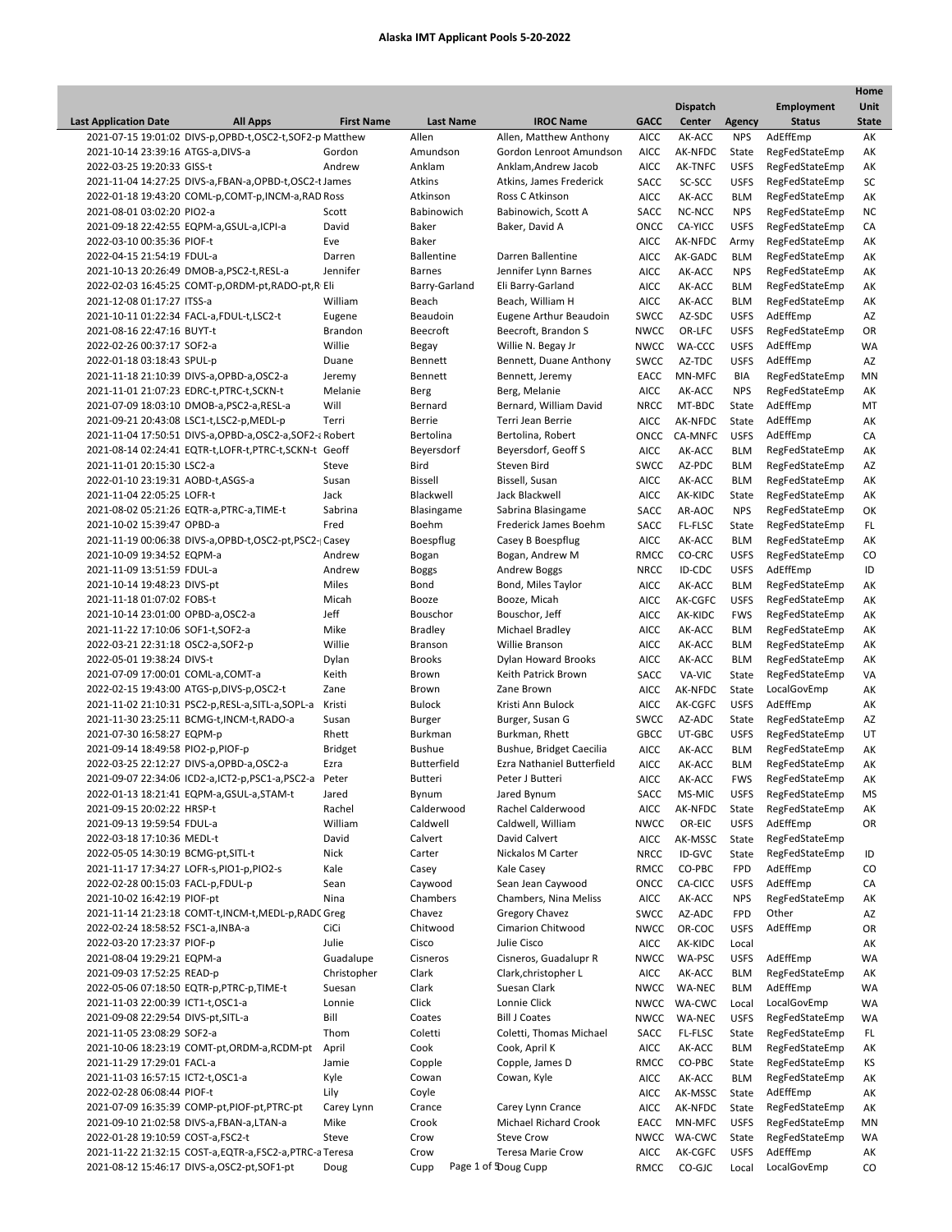|                                     |                                                            |                   |                    |                                            |                            |                        |                           |                                  | Home         |
|-------------------------------------|------------------------------------------------------------|-------------------|--------------------|--------------------------------------------|----------------------------|------------------------|---------------------------|----------------------------------|--------------|
|                                     |                                                            |                   |                    |                                            |                            | <b>Dispatch</b>        |                           | <b>Employment</b>                | Unit         |
| <b>Last Application Date</b>        | <b>All Apps</b>                                            | <b>First Name</b> | <b>Last Name</b>   | <b>IROC Name</b>                           | <b>GACC</b>                | Center                 | <b>Agency</b>             | <b>Status</b>                    | <b>State</b> |
|                                     | 2021-07-15 19:01:02 DIVS-p, OPBD-t, OSC2-t, SOF2-p Matthew |                   | Allen              | Allen, Matthew Anthony                     | <b>AICC</b>                | AK-ACC                 | <b>NPS</b>                | AdEffEmp                         | AK           |
| 2021-10-14 23:39:16 ATGS-a, DIVS-a  |                                                            | Gordon            | Amundson           | Gordon Lenroot Amundson                    | <b>AICC</b>                | AK-NFDC                | State                     | RegFedStateEmp                   | AK           |
| 2022-03-25 19:20:33 GISS-t          |                                                            | Andrew            | Anklam             | Anklam, Andrew Jacob                       | AICC                       | AK-TNFC                | <b>USFS</b>               | RegFedStateEmp                   | AK           |
|                                     | 2021-11-04 14:27:25 DIVS-a,FBAN-a,OPBD-t,OSC2-t James      |                   | Atkins<br>Atkinson | Atkins, James Frederick<br>Ross C Atkinson | SACC<br><b>AICC</b>        | SC-SCC<br>AK-ACC       | <b>USFS</b><br><b>BLM</b> | RegFedStateEmp<br>RegFedStateEmp | SC<br>AK     |
| 2021-08-01 03:02:20 PIO2-a          | 2022-01-18 19:43:20 COML-p,COMT-p,INCM-a,RAD Ross          | Scott             | Babinowich         | Babinowich, Scott A                        |                            | NC-NCC                 | <b>NPS</b>                | RegFedStateEmp                   | <b>NC</b>    |
|                                     | 2021-09-18 22:42:55 EQPM-a, GSUL-a, ICPI-a                 | David             | Baker              | Baker, David A                             | SACC<br>ONCC               | CA-YICC                | <b>USFS</b>               | RegFedStateEmp                   | CA           |
| 2022-03-10 00:35:36 PIOF-t          |                                                            | Eve               | Baker              |                                            | <b>AICC</b>                | AK-NFDC                | Army                      | RegFedStateEmp                   | АK           |
| 2022-04-15 21:54:19 FDUL-a          |                                                            | Darren            | <b>Ballentine</b>  | Darren Ballentine                          | AICC                       | AK-GADC                | <b>BLM</b>                | RegFedStateEmp                   | AK           |
|                                     | 2021-10-13 20:26:49 DMOB-a, PSC2-t, RESL-a                 | Jennifer          | <b>Barnes</b>      | Jennifer Lynn Barnes                       | <b>AICC</b>                | AK-ACC                 | <b>NPS</b>                | RegFedStateEmp                   | AK           |
|                                     | 2022-02-03 16:45:25 COMT-p,ORDM-pt,RADO-pt,R Eli           |                   | Barry-Garland      | Eli Barry-Garland                          | AICC                       | AK-ACC                 | <b>BLM</b>                | RegFedStateEmp                   | AK           |
| 2021-12-08 01:17:27 ITSS-a          |                                                            | William           | Beach              | Beach, William H                           | AICC                       | AK-ACC                 | <b>BLM</b>                | RegFedStateEmp                   | АK           |
|                                     | 2021-10-11 01:22:34 FACL-a,FDUL-t,LSC2-t                   | Eugene            | Beaudoin           | Eugene Arthur Beaudoin                     | <b>SWCC</b>                | AZ-SDC                 | <b>USFS</b>               | AdEffEmp                         | AZ           |
| 2021-08-16 22:47:16 BUYT-t          |                                                            | <b>Brandon</b>    | Beecroft           | Beecroft, Brandon S                        | <b>NWCC</b>                | OR-LFC                 | <b>USFS</b>               | RegFedStateEmp                   | OR           |
| 2022-02-26 00:37:17 SOF2-a          |                                                            | Willie            | Begay              | Willie N. Begay Jr                         | <b>NWCC</b>                | WA-CCC                 | <b>USFS</b>               | AdEffEmp                         | WA           |
| 2022-01-18 03:18:43 SPUL-p          |                                                            | Duane             | Bennett            | Bennett, Duane Anthony                     | <b>SWCC</b>                | AZ-TDC                 | <b>USFS</b>               | AdEffEmp                         | AZ           |
|                                     | 2021-11-18 21:10:39 DIVS-a, OPBD-a, OSC2-a                 | Jeremy            | Bennett            | Bennett, Jeremy                            | EACC                       | MN-MFC                 | BIA                       | RegFedStateEmp                   | ΜN           |
|                                     | 2021-11-01 21:07:23 EDRC-t, PTRC-t, SCKN-t                 | Melanie           | Berg               | Berg, Melanie                              | <b>AICC</b>                | AK-ACC                 | <b>NPS</b>                | RegFedStateEmp                   | AK           |
|                                     | 2021-07-09 18:03:10 DMOB-a,PSC2-a,RESL-a                   | Will              | Bernard            | Bernard, William David                     | <b>NRCC</b>                | MT-BDC                 | State                     | AdEffEmp                         | MT           |
|                                     | 2021-09-21 20:43:08 LSC1-t, LSC2-p, MEDL-p                 | Terri             | Berrie             | Terri Jean Berrie                          | AICC                       | AK-NFDC                | State                     | AdEffEmp                         | AK           |
|                                     | 2021-11-04 17:50:51 DIVS-a, OPBD-a, OSC2-a, SOF2-a Robert  |                   | Bertolina          | Bertolina, Robert                          | ONCC                       | CA-MNFC                | <b>USFS</b>               | AdEffEmp                         | CA           |
|                                     | 2021-08-14 02:24:41 EQTR-t, LOFR-t, PTRC-t, SCKN-t Geoff   |                   | Beyersdorf         | Beyersdorf, Geoff S                        | AICC                       | AK-ACC                 | <b>BLM</b>                | RegFedStateEmp                   | АK           |
| 2021-11-01 20:15:30 LSC2-a          |                                                            | Steve             | Bird               | Steven Bird                                | SWCC                       | AZ-PDC                 | BLM                       | RegFedStateEmp                   | AZ           |
| 2022-01-10 23:19:31 AOBD-t, ASGS-a  |                                                            | Susan             | <b>Bissell</b>     | Bissell, Susan                             | AICC                       | AK-ACC                 | <b>BLM</b>                | RegFedStateEmp                   | AK           |
| 2021-11-04 22:05:25 LOFR-t          |                                                            | Jack              | Blackwell          | Jack Blackwell                             | AICC                       | AK-KIDC                | State                     | RegFedStateEmp                   | AK           |
|                                     | 2021-08-02 05:21:26 EQTR-a, PTRC-a, TIME-t                 | Sabrina           | Blasingame         | Sabrina Blasingame                         | SACC                       | AR-AOC                 | <b>NPS</b>                | RegFedStateEmp                   | ОК           |
| 2021-10-02 15:39:47 OPBD-a          |                                                            | Fred              | Boehm              | Frederick James Boehm                      | SACC                       | FL-FLSC                | State                     | RegFedStateEmp                   | FL.          |
|                                     | 2021-11-19 00:06:38 DIVS-a, OPBD-t, OSC2-pt, PSC2-  Casey  |                   | Boespflug          | Casey B Boespflug                          | <b>AICC</b>                | AK-ACC                 | BLM                       | RegFedStateEmp                   | AK           |
| 2021-10-09 19:34:52 EQPM-a          |                                                            | Andrew            | Bogan              | Bogan, Andrew M                            | RMCC                       | CO-CRC                 | <b>USFS</b>               | RegFedStateEmp                   | CO           |
| 2021-11-09 13:51:59 FDUL-a          |                                                            | Andrew            | <b>Boggs</b>       | <b>Andrew Boggs</b>                        | <b>NRCC</b>                | ID-CDC                 | <b>USFS</b>               | AdEffEmp                         | ID           |
| 2021-10-14 19:48:23 DIVS-pt         |                                                            | Miles             | Bond               | Bond, Miles Taylor                         | AICC                       | AK-ACC                 | <b>BLM</b>                | RegFedStateEmp                   | AK           |
| 2021-11-18 01:07:02 FOBS-t          |                                                            | Micah             | Booze              | Booze, Micah                               | AICC                       | AK-CGFC                | <b>USFS</b>               | RegFedStateEmp                   | AK           |
| 2021-10-14 23:01:00 OPBD-a, OSC2-a  |                                                            | Jeff              | Bouschor           | Bouschor, Jeff                             | AICC                       | AK-KIDC                | <b>FWS</b>                | RegFedStateEmp                   | АK           |
| 2021-11-22 17:10:06 SOF1-t,SOF2-a   |                                                            | Mike              | <b>Bradley</b>     | Michael Bradley                            | AICC                       | AK-ACC                 | <b>BLM</b>                | RegFedStateEmp                   | AK           |
| 2022-03-21 22:31:18 OSC2-a, SOF2-p  |                                                            | Willie            | <b>Branson</b>     | Willie Branson                             | <b>AICC</b>                | AK-ACC                 | <b>BLM</b>                | RegFedStateEmp                   | AK           |
| 2022-05-01 19:38:24 DIVS-t          |                                                            | Dylan             | Brooks             | Dylan Howard Brooks                        | AICC                       | AK-ACC                 | BLM                       | RegFedStateEmp                   | AK           |
| 2021-07-09 17:00:01 COML-a,COMT-a   |                                                            | Keith             | Brown              | Keith Patrick Brown                        | SACC                       | VA-VIC                 | State                     | RegFedStateEmp                   | VA           |
|                                     | 2022-02-15 19:43:00 ATGS-p, DIVS-p, OSC2-t                 | Zane              | Brown              | Zane Brown                                 | AICC                       | AK-NFDC                | State                     | LocalGovEmp<br>AdEffEmp          | AK           |
|                                     | 2021-11-02 21:10:31 PSC2-p,RESL-a,SITL-a,SOPL-a            | Kristi<br>Susan   | <b>Bulock</b>      | Kristi Ann Bulock                          | <b>AICC</b>                | AK-CGFC                | <b>USFS</b>               | RegFedStateEmp                   | AK           |
| 2021-07-30 16:58:27 EQPM-p          | 2021-11-30 23:25:11 BCMG-t, INCM-t, RADO-a                 | Rhett             | Burger<br>Burkman  | Burger, Susan G<br>Burkman, Rhett          | <b>SWCC</b><br><b>GBCC</b> | AZ-ADC<br>UT-GBC       | State<br><b>USFS</b>      | RegFedStateEmp                   | AZ<br>UT     |
| 2021-09-14 18:49:58 PIO2-p,PIOF-p   |                                                            | <b>Bridget</b>    | <b>Bushue</b>      | Bushue, Bridget Caecilia                   | AICC                       | AK-ACC                 | <b>BLM</b>                | RegFedStateEmp                   | АK           |
|                                     | 2022-03-25 22:12:27 DIVS-a, OPBD-a, OSC2-a                 | Ezra              | <b>Butterfield</b> | Ezra Nathaniel Butterfield                 | <b>AICC</b>                | AK-ACC                 | <b>BLM</b>                | RegFedStateEmp                   | АK           |
|                                     | 2021-09-07 22:34:06 ICD2-a,ICT2-p,PSC1-a,PSC2-a            | Peter             | <b>Butteri</b>     | Peter J Butteri                            | <b>AICC</b>                | AK-ACC                 | <b>FWS</b>                | RegFedStateEmp                   | AK           |
|                                     | 2022-01-13 18:21:41 EQPM-a, GSUL-a, STAM-t                 | Jared             | Bynum              | Jared Bynum                                | SACC                       | MS-MIC                 | <b>USFS</b>               | RegFedStateEmp                   | MS           |
| 2021-09-15 20:02:22 HRSP-t          |                                                            | Rachel            | Calderwood         | Rachel Calderwood                          | AICC                       | AK-NFDC                | State                     | RegFedStateEmp                   | АK           |
| 2021-09-13 19:59:54 FDUL-a          |                                                            | William           | Caldwell           | Caldwell, William                          | <b>NWCC</b>                | OR-EIC                 | <b>USFS</b>               | AdEffEmp                         | OR           |
| 2022-03-18 17:10:36 MEDL-t          |                                                            | David             | Calvert            | David Calvert                              | <b>AICC</b>                | AK-MSSC                | State                     | RegFedStateEmp                   |              |
| 2022-05-05 14:30:19 BCMG-pt, SITL-t |                                                            | Nick              | Carter             | Nickalos M Carter                          | <b>NRCC</b>                | ID-GVC                 | State                     | RegFedStateEmp                   | ID           |
|                                     | 2021-11-17 17:34:27 LOFR-s, PIO1-p, PIO2-s                 | Kale              | Casey              | Kale Casey                                 | RMCC                       | CO-PBC                 | <b>FPD</b>                | AdEffEmp                         | CO           |
| 2022-02-28 00:15:03 FACL-p,FDUL-p   |                                                            | Sean              | Caywood            | Sean Jean Caywood                          | ONCC                       | CA-CICC                | <b>USFS</b>               | AdEffEmp                         | CA           |
| 2021-10-02 16:42:19 PIOF-pt         |                                                            | Nina              | Chambers           | Chambers, Nina Meliss                      | <b>AICC</b>                | AK-ACC                 | <b>NPS</b>                | RegFedStateEmp                   | АK           |
|                                     | 2021-11-14 21:23:18 COMT-t, INCM-t, MEDL-p, RADC Greg      |                   | Chavez             | Gregory Chavez                             | <b>SWCC</b>                | AZ-ADC                 | FPD                       | Other                            | AZ           |
| 2022-02-24 18:58:52 FSC1-a, INBA-a  |                                                            | CiCi              | Chitwood           | <b>Cimarion Chitwood</b>                   | <b>NWCC</b>                | OR-COC                 | <b>USFS</b>               | AdEffEmp                         | OR           |
| 2022-03-20 17:23:37 PIOF-p          |                                                            | Julie             | Cisco              | Julie Cisco                                | <b>AICC</b>                | AK-KIDC                | Local                     |                                  | АK           |
| 2021-08-04 19:29:21 EQPM-a          |                                                            | Guadalupe         | Cisneros           | Cisneros, Guadalupr R                      | <b>NWCC</b>                | WA-PSC                 | <b>USFS</b>               | AdEffEmp                         | WA           |
| 2021-09-03 17:52:25 READ-p          |                                                            | Christopher       | Clark              | Clark, christopher L                       | <b>AICC</b>                | AK-ACC                 | <b>BLM</b>                | RegFedStateEmp                   | АK           |
|                                     | 2022-05-06 07:18:50 EQTR-p, PTRC-p, TIME-t                 | Suesan            | Clark              | Suesan Clark                               | NWCC                       | WA-NEC                 | <b>BLM</b>                | AdEffEmp                         | WA           |
| 2021-11-03 22:00:39 ICT1-t,OSC1-a   |                                                            | Lonnie            | Click              | Lonnie Click                               |                            | NWCC WA-CWC            | Local                     | LocalGovEmp                      | WA           |
| 2021-09-08 22:29:54 DIVS-pt, SITL-a |                                                            | Bill              | Coates             | <b>Bill J Coates</b>                       | <b>NWCC</b>                | <b>WA-NEC</b>          | <b>USFS</b>               | RegFedStateEmp                   | WA           |
| 2021-11-05 23:08:29 SOF2-a          |                                                            | Thom              | Coletti            | Coletti, Thomas Michael                    | SACC                       | <b>FL-FLSC</b>         | State                     | RegFedStateEmp                   | FL           |
|                                     | 2021-10-06 18:23:19 COMT-pt,ORDM-a,RCDM-pt                 | April             | Cook               | Cook, April K                              | <b>AICC</b>                | AK-ACC                 | <b>BLM</b>                | RegFedStateEmp                   | АK           |
| 2021-11-29 17:29:01 FACL-a          |                                                            | Jamie             | Copple             | Copple, James D                            | RMCC                       | CO-PBC                 | State                     | RegFedStateEmp                   | ΚS           |
| 2021-11-03 16:57:15 ICT2-t,OSC1-a   |                                                            | Kyle              | Cowan              | Cowan, Kyle                                | <b>AICC</b>                | AK-ACC                 | <b>BLM</b>                | RegFedStateEmp                   | AK           |
| 2022-02-28 06:08:44 PIOF-t          |                                                            | Lily              | Coyle              |                                            | AICC                       | AK-MSSC                | State                     | AdEffEmp                         | АK           |
|                                     | 2021-07-09 16:35:39 COMP-pt, PIOF-pt, PTRC-pt              | Carey Lynn        | Crance             | Carey Lynn Crance                          | AICC                       | AK-NFDC                | State                     | RegFedStateEmp                   | AK           |
| 2022-01-28 19:10:59 COST-a, FSC2-t  | 2021-09-10 21:02:58 DIVS-a,FBAN-a,LTAN-a                   | Mike              | Crook<br>Crow      | Michael Richard Crook<br><b>Steve Crow</b> | EACC                       | MN-MFC                 | <b>USFS</b>               | RegFedStateEmp<br>RegFedStateEmp | ΜN           |
|                                     | 2021-11-22 21:32:15 COST-a, EQTR-a, FSC2-a, PTRC-a Teresa  | Steve             | Crow               | <b>Teresa Marie Crow</b>                   | <b>AICC</b>                | NWCC WA-CWC<br>AK-CGFC | State<br><b>USFS</b>      | AdEffEmp                         | WA<br>AK     |
|                                     | 2021-08-12 15:46:17 DIVS-a, OSC2-pt, SOF1-pt               | Doug              | Cupp               | Page 1 of Doug Cupp                        | RMCC                       | CO-GJC                 | Local                     | LocalGovEmp                      | CO           |
|                                     |                                                            |                   |                    |                                            |                            |                        |                           |                                  |              |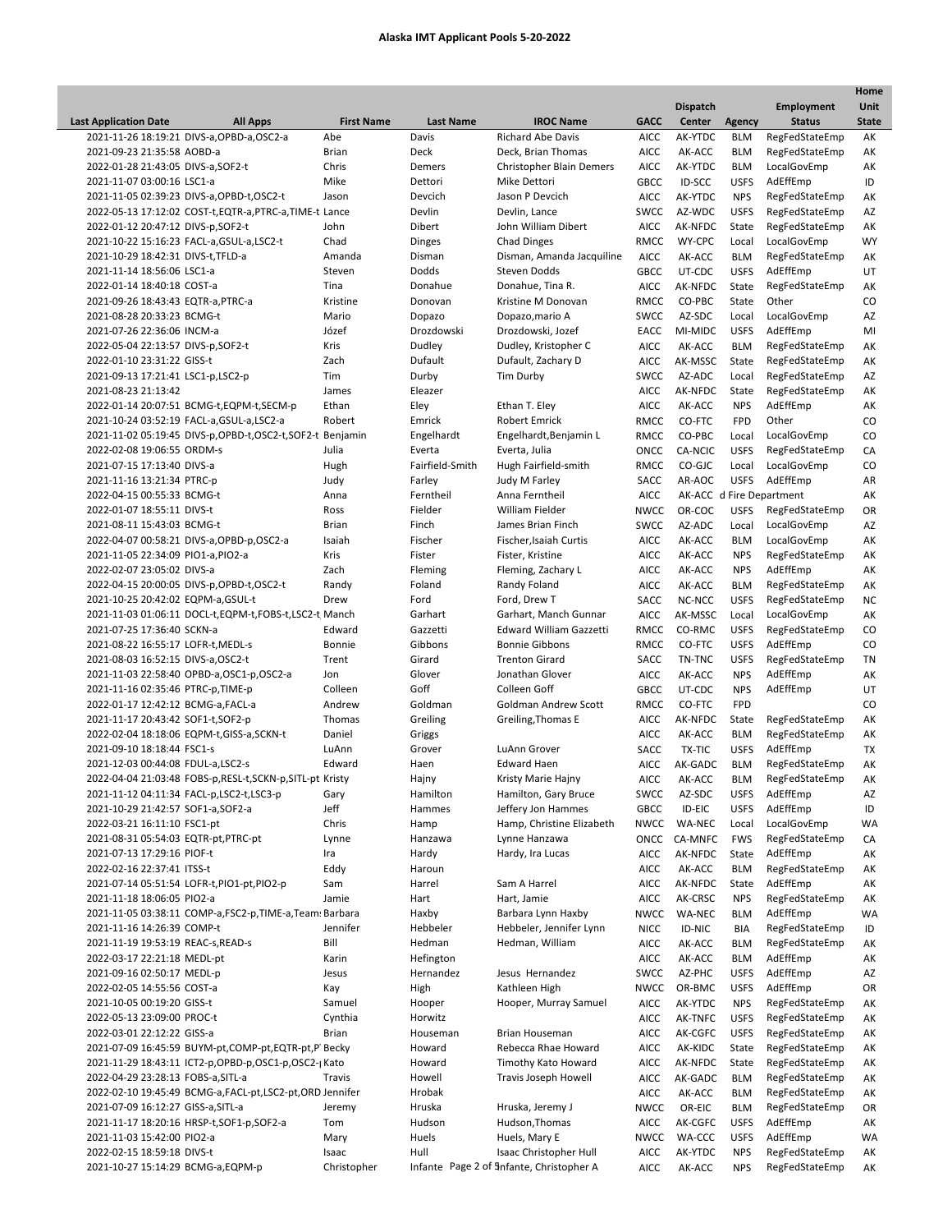ı

|                                      |                                                            |                   |                  |                                          |             |                          |               |                   | Home         |
|--------------------------------------|------------------------------------------------------------|-------------------|------------------|------------------------------------------|-------------|--------------------------|---------------|-------------------|--------------|
|                                      |                                                            |                   |                  |                                          |             | <b>Dispatch</b>          |               | <b>Employment</b> | Unit         |
| <b>Last Application Date</b>         | <b>All Apps</b>                                            | <b>First Name</b> | <b>Last Name</b> | <b>IROC Name</b>                         | <b>GACC</b> | Center                   | <b>Agency</b> | <b>Status</b>     | <b>State</b> |
|                                      | 2021-11-26 18:19:21 DIVS-a, OPBD-a, OSC2-a                 | Abe               | Davis            | <b>Richard Abe Davis</b>                 | <b>AICC</b> | AK-YTDC                  | <b>BLM</b>    | RegFedStateEmp    | AK           |
| 2021-09-23 21:35:58 AOBD-a           |                                                            | <b>Brian</b>      | Deck             | Deck, Brian Thomas                       | <b>AICC</b> | AK-ACC                   | <b>BLM</b>    | RegFedStateEmp    | AK           |
| 2022-01-28 21:43:05 DIVS-a, SOF2-t   |                                                            | Chris             | Demers           | <b>Christopher Blain Demers</b>          | <b>AICC</b> | AK-YTDC                  | <b>BLM</b>    | LocalGovEmp       | AK           |
| 2021-11-07 03:00:16 LSC1-a           |                                                            | Mike              | Dettori          | Mike Dettori                             | <b>GBCC</b> | ID-SCC                   | <b>USFS</b>   | AdEffEmp          | ID           |
|                                      | 2021-11-05 02:39:23 DIVS-a, OPBD-t, OSC2-t                 | Jason             | Devcich          | Jason P Devcich                          | AICC        | AK-YTDC                  | <b>NPS</b>    | RegFedStateEmp    | AK           |
|                                      | 2022-05-13 17:12:02 COST-t, EQTR-a, PTRC-a, TIME-t Lance   |                   | Devlin           | Devlin, Lance                            | SWCC        | AZ-WDC                   | <b>USFS</b>   | RegFedStateEmp    | AZ           |
| 2022-01-12 20:47:12 DIVS-p,SOF2-t    |                                                            | John              | Dibert           | John William Dibert                      | <b>AICC</b> | AK-NFDC                  | State         | RegFedStateEmp    | AK           |
|                                      | 2021-10-22 15:16:23 FACL-a, GSUL-a, LSC2-t                 | Chad              | <b>Dinges</b>    | <b>Chad Dinges</b>                       | RMCC        | WY-CPC                   | Local         | LocalGovEmp       | WY           |
| 2021-10-29 18:42:31 DIVS-t, TFLD-a   |                                                            | Amanda            | Disman           | Disman, Amanda Jacquiline                | <b>AICC</b> | AK-ACC                   | <b>BLM</b>    | RegFedStateEmp    | AK           |
| 2021-11-14 18:56:06 LSC1-a           |                                                            | Steven            | Dodds            | Steven Dodds                             | <b>GBCC</b> | UT-CDC                   | <b>USFS</b>   | AdEffEmp          | UT           |
| 2022-01-14 18:40:18 COST-a           |                                                            | Tina              | Donahue          | Donahue, Tina R.                         | AICC        | AK-NFDC                  | State         | RegFedStateEmp    | AK           |
| 2021-09-26 18:43:43 EQTR-a, PTRC-a   |                                                            | Kristine          | Donovan          | Kristine M Donovan                       | RMCC        | CO-PBC                   | State         | Other             | CO           |
| 2021-08-28 20:33:23 BCMG-t           |                                                            | Mario             | Dopazo           | Dopazo, mario A                          | <b>SWCC</b> | AZ-SDC                   | Local         | LocalGovEmp       | AZ           |
| 2021-07-26 22:36:06 INCM-a           |                                                            | Józef             | Drozdowski       | Drozdowski, Jozef                        | EACC        | MI-MIDC                  | <b>USFS</b>   | AdEffEmp          | MI           |
| 2022-05-04 22:13:57 DIVS-p,SOF2-t    |                                                            | Kris              | Dudley           | Dudley, Kristopher C                     | AICC        | AK-ACC                   | <b>BLM</b>    | RegFedStateEmp    | АK           |
| 2022-01-10 23:31:22 GISS-t           |                                                            | Zach              | Dufault          | Dufault, Zachary D                       | AICC        | AK-MSSC                  | State         | RegFedStateEmp    | AK           |
| 2021-09-13 17:21:41 LSC1-p,LSC2-p    |                                                            | Tim               | Durby            | Tim Durby                                | <b>SWCC</b> | AZ-ADC                   | Local         | RegFedStateEmp    | AZ           |
| 2021-08-23 21:13:42                  |                                                            | James             | Eleazer          |                                          | AICC        | AK-NFDC                  | State         | RegFedStateEmp    | AK           |
|                                      | 2022-01-14 20:07:51 BCMG-t, EQPM-t, SECM-p                 | Ethan             | Eley             | Ethan T. Eley                            | <b>AICC</b> | AK-ACC                   | <b>NPS</b>    | AdEffEmp          | AK           |
|                                      | 2021-10-24 03:52:19 FACL-a, GSUL-a, LSC2-a                 | Robert            | Emrick           | <b>Robert Emrick</b>                     | RMCC        | CO-FTC                   | <b>FPD</b>    | Other             | CO           |
|                                      | 2021-11-02 05:19:45 DIVS-p,OPBD-t,OSC2-t,SOF2-t Benjamin   |                   | Engelhardt       | Engelhardt, Benjamin L                   | RMCC        | CO-PBC                   | Local         | LocalGovEmp       | CO           |
| 2022-02-08 19:06:55 ORDM-s           |                                                            | Julia             | Everta           | Everta, Julia                            | ONCC        | <b>CA-NCIC</b>           | <b>USFS</b>   | RegFedStateEmp    | CA           |
| 2021-07-15 17:13:40 DIVS-a           |                                                            | Hugh              | Fairfield-Smith  | Hugh Fairfield-smith                     | RMCC        | CO-GJC                   | Local         | LocalGovEmp       | CO           |
| 2021-11-16 13:21:34 PTRC-p           |                                                            | Judy              | Farley           | Judy M Farley                            | SACC        | AR-AOC                   | <b>USFS</b>   | AdEffEmp          | AR           |
| 2022-04-15 00:55:33 BCMG-t           |                                                            | Anna              | Ferntheil        | Anna Ferntheil                           | AICC        | AK-ACC d Fire Department |               |                   | AK           |
| 2022-01-07 18:55:11 DIVS-t           |                                                            | Ross              | Fielder          | <b>William Fielder</b>                   | <b>NWCC</b> | OR-COC                   | <b>USFS</b>   | RegFedStateEmp    | OR           |
| 2021-08-11 15:43:03 BCMG-t           |                                                            | Brian             | Finch            | James Brian Finch                        | SWCC        | AZ-ADC                   | Local         | LocalGovEmp       | AZ           |
|                                      | 2022-04-07 00:58:21 DIVS-a,OPBD-p,OSC2-a                   | Isaiah            | Fischer          | Fischer, Isaiah Curtis                   | <b>AICC</b> | AK-ACC                   | <b>BLM</b>    | LocalGovEmp       | AK           |
| 2021-11-05 22:34:09 PIO1-a, PIO2-a   |                                                            | Kris              | Fister           | Fister, Kristine                         | <b>AICC</b> | AK-ACC                   | <b>NPS</b>    | RegFedStateEmp    | AK           |
| 2022-02-07 23:05:02 DIVS-a           |                                                            | Zach              | Fleming          | Fleming, Zachary L                       | <b>AICC</b> | AK-ACC                   | <b>NPS</b>    | AdEffEmp          | АK           |
|                                      | 2022-04-15 20:00:05 DIVS-p,OPBD-t,OSC2-t                   | Randy             | Foland           | Randy Foland                             | <b>AICC</b> | AK-ACC                   | <b>BLM</b>    | RegFedStateEmp    | AK           |
| 2021-10-25 20:42:02 EQPM-a, GSUL-t   |                                                            | Drew              | Ford             | Ford, Drew T                             | SACC        | NC-NCC                   | <b>USFS</b>   | RegFedStateEmp    | <b>NC</b>    |
|                                      | 2021-11-03 01:06:11 DOCL-t, EQPM-t, FOBS-t, LSC2-t, Manch  |                   | Garhart          | Garhart, Manch Gunnar                    | AICC        | AK-MSSC                  | Local         | LocalGovEmp       | AK           |
| 2021-07-25 17:36:40 SCKN-a           |                                                            | Edward            | Gazzetti         | <b>Edward William Gazzetti</b>           | RMCC        | CO-RMC                   | <b>USFS</b>   | RegFedStateEmp    | CO           |
| 2021-08-22 16:55:17 LOFR-t, MEDL-s   |                                                            | Bonnie            | Gibbons          | <b>Bonnie Gibbons</b>                    | RMCC        | CO-FTC                   | <b>USFS</b>   | AdEffEmp          | CO           |
| 2021-08-03 16:52:15 DIVS-a, OSC2-t   |                                                            | Trent             | Girard           | <b>Trenton Girard</b>                    | SACC        | TN-TNC                   | <b>USFS</b>   | RegFedStateEmp    | TN           |
|                                      | 2021-11-03 22:58:40 OPBD-a,OSC1-p,OSC2-a                   | Jon               | Glover           | Jonathan Glover                          | <b>AICC</b> | AK-ACC                   | <b>NPS</b>    | AdEffEmp          | AK           |
| 2021-11-16 02:35:46 PTRC-p,TIME-p    |                                                            | Colleen           | Goff             | Colleen Goff                             | <b>GBCC</b> | UT-CDC                   | <b>NPS</b>    | AdEffEmp          | UT           |
| 2022-01-17 12:42:12 BCMG-a, FACL-a   |                                                            | Andrew            | Goldman          | Goldman Andrew Scott                     | RMCC        | CO-FTC                   | <b>FPD</b>    |                   | CO           |
| 2021-11-17 20:43:42 SOF1-t,SOF2-p    |                                                            | Thomas            | Greiling         | Greiling, Thomas E                       | AICC        | AK-NFDC                  | State         | RegFedStateEmp    | AK           |
|                                      | 2022-02-04 18:18:06 EQPM-t,GISS-a,SCKN-t                   | Daniel            | Griggs           |                                          | <b>AICC</b> | AK-ACC                   | <b>BLM</b>    | RegFedStateEmp    | AK           |
| 2021-09-10 18:18:44 FSC1-s           |                                                            | LuAnn             | Grover           | LuAnn Grover                             | SACC        | <b>TX-TIC</b>            | <b>USFS</b>   | AdEffEmp          | <b>TX</b>    |
| 2021-12-03 00:44:08 FDUL-a,LSC2-s    |                                                            | Edward            | Haen             | <b>Edward Haen</b>                       | <b>AICC</b> | AK-GADC                  | <b>BLM</b>    | RegFedStateEmp    | AK           |
|                                      | 2022-04-04 21:03:48 FOBS-p,RESL-t,SCKN-p,SITL-pt Kristy    |                   | Hajny            | Kristy Marie Hajny                       | <b>AICC</b> | AK-ACC                   | <b>BLM</b>    | RegFedStateEmp    | AK           |
|                                      | 2021-11-12 04:11:34 FACL-p,LSC2-t,LSC3-p                   | Gary              | Hamilton         | Hamilton, Gary Bruce                     | <b>SWCC</b> | AZ-SDC                   | <b>USFS</b>   | AdEffEmp          | AZ           |
| 2021-10-29 21:42:57 SOF1-a,SOF2-a    |                                                            | Jeff              | Hammes           | Jeffery Jon Hammes                       | <b>GBCC</b> | ID-EIC                   | <b>USFS</b>   | AdEffEmp          | ID           |
| 2022-03-21 16:11:10 FSC1-pt          |                                                            | Chris             | Hamp             | Hamp, Christine Elizabeth                | <b>NWCC</b> | WA-NEC                   | Local         | LocalGovEmp       | WA           |
| 2021-08-31 05:54:03 EQTR-pt, PTRC-pt |                                                            | Lynne             | Hanzawa          | Lynne Hanzawa                            | ONCC        | CA-MNFC                  | <b>FWS</b>    | RegFedStateEmp    | CA           |
| 2021-07-13 17:29:16 PIOF-t           |                                                            | Ira               | Hardy            | Hardy, Ira Lucas                         | <b>AICC</b> | AK-NFDC                  | State         | AdEffEmp          | АK           |
| 2022-02-16 22:37:41 ITSS-t           |                                                            | Eddy              | Haroun           |                                          | <b>AICC</b> | AK-ACC                   | <b>BLM</b>    | RegFedStateEmp    | АK           |
|                                      | 2021-07-14 05:51:54 LOFR-t, PIO1-pt, PIO2-p                | Sam               | Harrel           | Sam A Harrel                             | AICC        | AK-NFDC                  | State         | AdEffEmp          | АK           |
| 2021-11-18 18:06:05 PIO2-a           |                                                            | Jamie             | Hart             | Hart, Jamie                              | AICC        | AK-CRSC                  | <b>NPS</b>    | RegFedStateEmp    | АK           |
|                                      | 2021-11-05 03:38:11 COMP-a, FSC2-p, TIME-a, Team: Barbara  |                   | Haxby            | Barbara Lynn Haxby                       | <b>NWCC</b> | WA-NEC                   | <b>BLM</b>    | AdEffEmp          | <b>WA</b>    |
| 2021-11-16 14:26:39 COMP-t           |                                                            | Jennifer          | Hebbeler         | Hebbeler, Jennifer Lynn                  | <b>NICC</b> | ID-NIC                   | BIA           | RegFedStateEmp    | ID           |
| 2021-11-19 19:53:19 REAC-s, READ-s   |                                                            | Bill              | Hedman           | Hedman, William                          | <b>AICC</b> | AK-ACC                   | <b>BLM</b>    | RegFedStateEmp    | АK           |
| 2022-03-17 22:21:18 MEDL-pt          |                                                            | Karin             | Hefington        |                                          | <b>AICC</b> | AK-ACC                   | <b>BLM</b>    | AdEffEmp          | АK           |
| 2021-09-16 02:50:17 MEDL-p           |                                                            | Jesus             | Hernandez        | Jesus Hernandez                          | SWCC        | AZ-PHC                   | <b>USFS</b>   | AdEffEmp          | AZ           |
| 2022-02-05 14:55:56 COST-a           |                                                            | Kay               | High             | Kathleen High                            | <b>NWCC</b> | OR-BMC                   | <b>USFS</b>   | AdEffEmp          | OR           |
| 2021-10-05 00:19:20 GISS-t           |                                                            | Samuel            | Hooper           | Hooper, Murray Samuel                    | <b>AICC</b> | AK-YTDC                  | <b>NPS</b>    | RegFedStateEmp    | АK           |
| 2022-05-13 23:09:00 PROC-t           |                                                            | Cynthia           | Horwitz          |                                          | AICC        | AK-TNFC                  | <b>USFS</b>   | RegFedStateEmp    | АK           |
| 2022-03-01 22:12:22 GISS-a           |                                                            | <b>Brian</b>      | Houseman         | Brian Houseman                           | AICC        | AK-CGFC                  | <b>USFS</b>   | RegFedStateEmp    | АK           |
|                                      | 2021-07-09 16:45:59 BUYM-pt,COMP-pt,EQTR-pt,P Becky        |                   | Howard           | Rebecca Rhae Howard                      | <b>AICC</b> | AK-KIDC                  | State         | RegFedStateEmp    | АK           |
|                                      | 2021-11-29 18:43:11 ICT2-p,OPBD-p,OSC1-p,OSC2-1 Kato       |                   | Howard           | Timothy Kato Howard                      | AICC        | AK-NFDC                  | State         | RegFedStateEmp    | АK           |
| 2022-04-29 23:28:13 FOBS-a, SITL-a   |                                                            | Travis            | Howell           | Travis Joseph Howell                     | AICC        | AK-GADC                  | <b>BLM</b>    | RegFedStateEmp    | АK           |
|                                      | 2022-02-10 19:45:49 BCMG-a, FACL-pt, LSC2-pt, ORD Jennifer |                   | Hrobak           |                                          | <b>AICC</b> | AK-ACC                   | <b>BLM</b>    | RegFedStateEmp    | АK           |
| 2021-07-09 16:12:27 GISS-a, SITL-a   |                                                            | Jeremy            | Hruska           | Hruska, Jeremy J                         | <b>NWCC</b> | OR-EIC                   | <b>BLM</b>    | RegFedStateEmp    | OR           |
|                                      | 2021-11-17 18:20:16 HRSP-t,SOF1-p,SOF2-a                   | Tom               | Hudson           | Hudson, Thomas                           | AICC        | AK-CGFC                  | <b>USFS</b>   | AdEffEmp          | АK           |
| 2021-11-03 15:42:00 PIO2-a           |                                                            | Mary              | Huels            | Huels, Mary E                            | <b>NWCC</b> | WA-CCC                   | <b>USFS</b>   | AdEffEmp          | WA           |
| 2022-02-15 18:59:18 DIVS-t           |                                                            | Isaac             | Hull             | Isaac Christopher Hull                   | <b>AICC</b> | AK-YTDC                  | <b>NPS</b>    | RegFedStateEmp    | АK           |
| 2021-10-27 15:14:29 BCMG-a,EQPM-p    |                                                            | Christopher       |                  | Infante Page 2 of 5nfante, Christopher A | <b>AICC</b> | AK-ACC                   | <b>NPS</b>    | RegFedStateEmp    | AK           |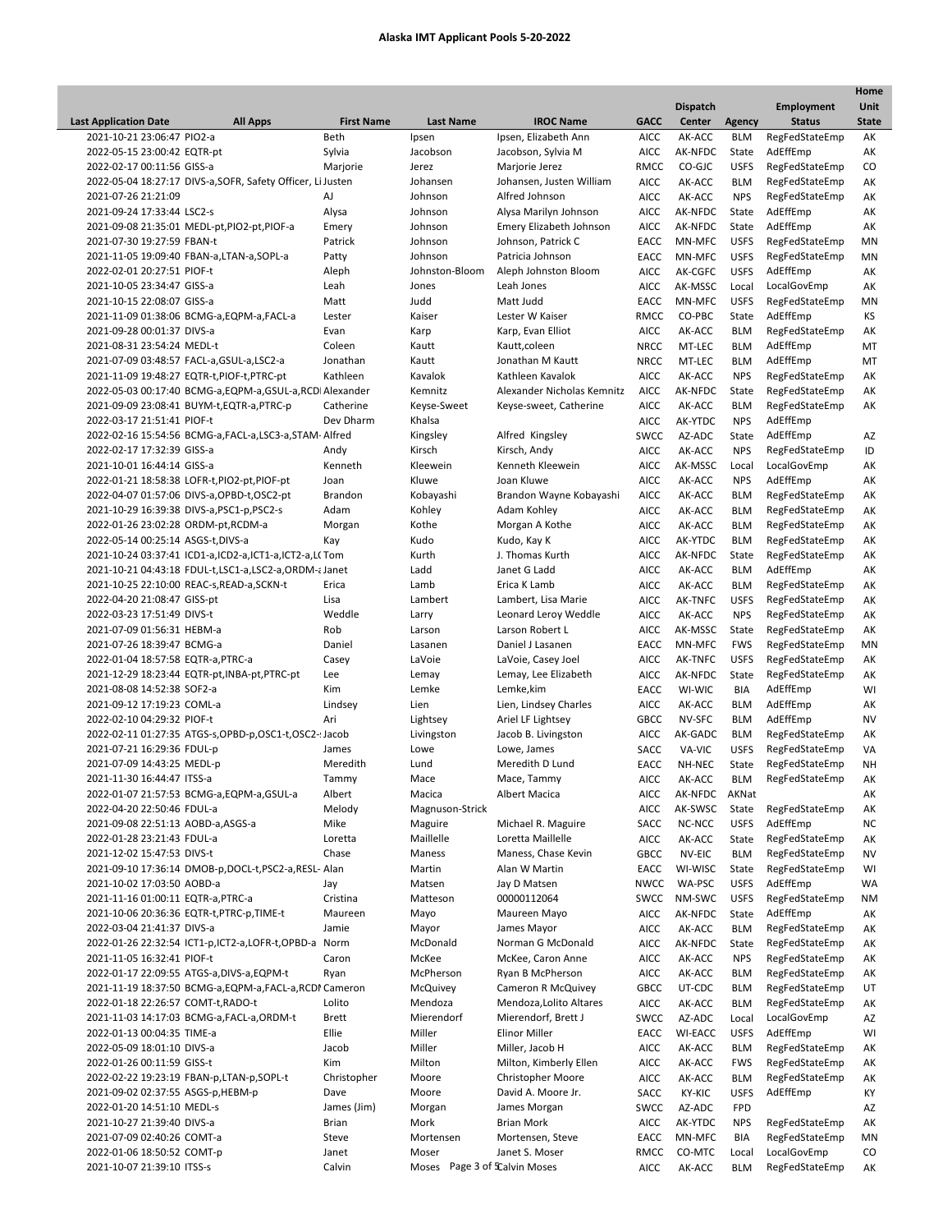l

|                                     |                                                             |                   |                  |                            |             |                 |               |                   | Home         |
|-------------------------------------|-------------------------------------------------------------|-------------------|------------------|----------------------------|-------------|-----------------|---------------|-------------------|--------------|
|                                     |                                                             |                   |                  |                            |             | <b>Dispatch</b> |               | <b>Employment</b> | Unit         |
| <b>Last Application Date</b>        | <b>All Apps</b>                                             | <b>First Name</b> | <b>Last Name</b> | <b>IROC Name</b>           | <b>GACC</b> | Center          | <b>Agency</b> | <b>Status</b>     | <b>State</b> |
| 2021-10-21 23:06:47 PIO2-a          |                                                             | Beth              | Ipsen            | Ipsen. Elizabeth Ann       | <b>AICC</b> | AK-ACC          | <b>BLM</b>    | RegFedStateEmp    | АK           |
| 2022-05-15 23:00:42 EQTR-pt         |                                                             | Sylvia            | Jacobson         | Jacobson, Sylvia M         | AICC        | AK-NFDC         | State         | AdEffEmp          | AK           |
| 2022-02-17 00:11:56 GISS-a          |                                                             | Marjorie          | Jerez            | Marjorie Jerez             | RMCC        | CO-GJC          | <b>USFS</b>   | RegFedStateEmp    | CO           |
|                                     | 2022-05-04 18:27:17 DIVS-a, SOFR, Safety Officer, Li Justen |                   | Johansen         | Johansen, Justen William   | <b>AICC</b> | AK-ACC          | <b>BLM</b>    | RegFedStateEmp    | AK           |
| 2021-07-26 21:21:09                 |                                                             | AJ                | Johnson          | Alfred Johnson             | <b>AICC</b> | AK-ACC          | <b>NPS</b>    | RegFedStateEmp    | AK           |
| 2021-09-24 17:33:44 LSC2-s          |                                                             | Alysa             | Johnson          | Alysa Marilyn Johnson      | AICC        | AK-NFDC         | State         | AdEffEmp          | AK           |
|                                     | 2021-09-08 21:35:01 MEDL-pt,PIO2-pt,PIOF-a                  | Emery             | Johnson          | Emery Elizabeth Johnson    | AICC        | AK-NFDC         | State         | AdEffEmp          | AK           |
| 2021-07-30 19:27:59 FBAN-t          |                                                             | Patrick           | Johnson          | Johnson, Patrick C         | EACC        | MN-MFC          | <b>USFS</b>   | RegFedStateEmp    | MN           |
|                                     | 2021-11-05 19:09:40 FBAN-a,LTAN-a,SOPL-a                    |                   | Johnson          | Patricia Johnson           | EACC        | MN-MFC          | <b>USFS</b>   | RegFedStateEmp    | MN           |
|                                     |                                                             | Patty             |                  |                            |             |                 |               |                   |              |
| 2022-02-01 20:27:51 PIOF-t          |                                                             | Aleph             | Johnston-Bloom   | Aleph Johnston Bloom       | <b>AICC</b> | AK-CGFC         | <b>USFS</b>   | AdEffEmp          | AK           |
| 2021-10-05 23:34:47 GISS-a          |                                                             | Leah              | Jones            | Leah Jones                 | AICC        | AK-MSSC         | Local         | LocalGovEmp       | AK           |
| 2021-10-15 22:08:07 GISS-a          |                                                             | Matt              | Judd             | Matt Judd                  | EACC        | MN-MFC          | <b>USFS</b>   | RegFedStateEmp    | MN           |
|                                     | 2021-11-09 01:38:06 BCMG-a, EQPM-a, FACL-a                  | Lester            | Kaiser           | Lester W Kaiser            | RMCC        | CO-PBC          | State         | AdEffEmp          | KS           |
| 2021-09-28 00:01:37 DIVS-a          |                                                             | Evan              | Karp             | Karp, Evan Elliot          | <b>AICC</b> | AK-ACC          | <b>BLM</b>    | RegFedStateEmp    | AK           |
| 2021-08-31 23:54:24 MEDL-t          |                                                             | Coleen            | Kautt            | Kautt, coleen              | <b>NRCC</b> | MT-LEC          | <b>BLM</b>    | AdEffEmp          | MT           |
|                                     | 2021-07-09 03:48:57 FACL-a,GSUL-a,LSC2-a                    | Jonathan          | Kautt            | Jonathan M Kautt           | <b>NRCC</b> | MT-LEC          | <b>BLM</b>    | AdEffEmp          | MT           |
|                                     | 2021-11-09 19:48:27 EQTR-t, PIOF-t, PTRC-pt                 | Kathleen          | Kavalok          | Kathleen Kavalok           | <b>AICC</b> | AK-ACC          | <b>NPS</b>    | RegFedStateEmp    | AK           |
|                                     | 2022-05-03 00:17:40 BCMG-a,EQPM-a,GSUL-a,RCDI Alexander     |                   | Kemnitz          | Alexander Nicholas Kemnitz | <b>AICC</b> | AK-NFDC         | State         | RegFedStateEmp    | AK           |
|                                     | 2021-09-09 23:08:41 BUYM-t, EQTR-a, PTRC-p                  | Catherine         | Keyse-Sweet      | Keyse-sweet, Catherine     | <b>AICC</b> | AK-ACC          | <b>BLM</b>    | RegFedStateEmp    | AK           |
| 2022-03-17 21:51:41 PIOF-t          |                                                             | Dev Dharm         | Khalsa           |                            | <b>AICC</b> | AK-YTDC         | <b>NPS</b>    | AdEffEmp          |              |
|                                     |                                                             |                   |                  |                            |             |                 |               |                   |              |
|                                     | 2022-02-16 15:54:56 BCMG-a, FACL-a, LSC3-a, STAM- Alfred    |                   | Kingsley         | Alfred Kingsley            | <b>SWCC</b> | AZ-ADC          | State         | AdEffEmp          | AZ           |
| 2022-02-17 17:32:39 GISS-a          |                                                             | Andy              | Kirsch           | Kirsch, Andy               | <b>AICC</b> | AK-ACC          | <b>NPS</b>    | RegFedStateEmp    | ID           |
| 2021-10-01 16:44:14 GISS-a          |                                                             | Kenneth           | Kleewein         | Kenneth Kleewein           | AICC        | AK-MSSC         | Local         | LocalGovEmp       | AK           |
|                                     | 2022-01-21 18:58:38 LOFR-t, PIO2-pt, PIOF-pt                | Joan              | Kluwe            | Joan Kluwe                 | <b>AICC</b> | AK-ACC          | <b>NPS</b>    | AdEffEmp          | AK           |
|                                     | 2022-04-07 01:57:06 DIVS-a, OPBD-t, OSC2-pt                 | Brandon           | Kobayashi        | Brandon Wayne Kobayashi    | <b>AICC</b> | AK-ACC          | <b>BLM</b>    | RegFedStateEmp    | AK           |
|                                     | 2021-10-29 16:39:38 DIVS-a, PSC1-p, PSC2-s                  | Adam              | Kohley           | Adam Kohley                | <b>AICC</b> | AK-ACC          | <b>BLM</b>    | RegFedStateEmp    | AK           |
| 2022-01-26 23:02:28 ORDM-pt, RCDM-a |                                                             | Morgan            | Kothe            | Morgan A Kothe             | <b>AICC</b> | AK-ACC          | <b>BLM</b>    | RegFedStateEmp    | AK           |
| 2022-05-14 00:25:14 ASGS-t,DIVS-a   |                                                             | Kay               | Kudo             | Kudo, Kay K                | AICC        | AK-YTDC         | <b>BLM</b>    | RegFedStateEmp    | AK           |
|                                     | 2021-10-24 03:37:41 ICD1-a,ICD2-a,ICT1-a,ICT2-a,L(Tom       |                   | Kurth            | J. Thomas Kurth            | <b>AICC</b> | AK-NFDC         | State         | RegFedStateEmp    | AK           |
|                                     | 2021-10-21 04:43:18 FDUL-t,LSC1-a,LSC2-a,ORDM-a Janet       |                   | Ladd             | Janet G Ladd               | <b>AICC</b> | AK-ACC          | <b>BLM</b>    | AdEffEmp          | AK           |
|                                     | 2021-10-25 22:10:00 REAC-s, READ-a, SCKN-t                  | Erica             | Lamb             | Erica K Lamb               | <b>AICC</b> | AK-ACC          | <b>BLM</b>    | RegFedStateEmp    | AK           |
|                                     |                                                             | Lisa              | Lambert          |                            |             |                 |               |                   |              |
| 2022-04-20 21:08:47 GISS-pt         |                                                             |                   |                  | Lambert, Lisa Marie        | <b>AICC</b> | AK-TNFC         | <b>USFS</b>   | RegFedStateEmp    | AK           |
| 2022-03-23 17:51:49 DIVS-t          |                                                             | Weddle            | Larry            | Leonard Leroy Weddle       | AICC        | AK-ACC          | <b>NPS</b>    | RegFedStateEmp    | AK           |
| 2021-07-09 01:56:31 HEBM-a          |                                                             | Rob               | Larson           | Larson Robert L            | <b>AICC</b> | AK-MSSC         | State         | RegFedStateEmp    | AK           |
| 2021-07-26 18:39:47 BCMG-a          |                                                             | Daniel            | Lasanen          | Daniel J Lasanen           | EACC        | MN-MFC          | <b>FWS</b>    | RegFedStateEmp    | MN           |
| 2022-01-04 18:57:58 EQTR-a, PTRC-a  |                                                             | Casey             | LaVoie           | LaVoie, Casey Joel         | AICC        | AK-TNFC         | <b>USFS</b>   | RegFedStateEmp    | АK           |
|                                     | 2021-12-29 18:23:44 EQTR-pt, INBA-pt, PTRC-pt               | Lee               | Lemay            | Lemay, Lee Elizabeth       | <b>AICC</b> | AK-NFDC         | State         | RegFedStateEmp    | AK           |
| 2021-08-08 14:52:38 SOF2-a          |                                                             | Kim               | Lemke            | Lemke, kim                 | EACC        | WI-WIC          | <b>BIA</b>    | AdEffEmp          | WI           |
| 2021-09-12 17:19:23 COML-a          |                                                             | Lindsey           | Lien             | Lien, Lindsey Charles      | <b>AICC</b> | AK-ACC          | <b>BLM</b>    | AdEffEmp          | AK           |
| 2022-02-10 04:29:32 PIOF-t          |                                                             | Ari               | Lightsey         | Ariel LF Lightsey          | GBCC        | NV-SFC          | <b>BLM</b>    | AdEffEmp          | <b>NV</b>    |
|                                     | 2022-02-11 01:27:35 ATGS-s, OPBD-p, OSC1-t, OSC2-: Jacob    |                   | Livingston       | Jacob B. Livingston        | AICC        | AK-GADC         | <b>BLM</b>    | RegFedStateEmp    | АK           |
| 2021-07-21 16:29:36 FDUL-p          |                                                             | James             | Lowe             | Lowe, James                | SACC        | VA-VIC          | <b>USFS</b>   | RegFedStateEmp    | VA           |
| 2021-07-09 14:43:25 MEDL-p          |                                                             | Meredith          | Lund             | Meredith D Lund            | EACC        | NH-NEC          | State         | RegFedStateEmp    | <b>NH</b>    |
| 2021-11-30 16:44:47 ITSS-a          |                                                             | Tammy             | Mace             | Mace, Tammy                | <b>AICC</b> | AK-ACC          | <b>BLM</b>    | RegFedStateEmp    | AK           |
|                                     |                                                             |                   |                  |                            |             |                 |               |                   |              |
|                                     | 2022-01-07 21:57:53 BCMG-a,EQPM-a,GSUL-a                    | Albert            | Macica           | Albert Macica              | <b>AICC</b> | AK-NFDC         | AKNat         |                   | AK           |
| 2022-04-20 22:50:46 FDUL-a          |                                                             | Melody            | Magnuson-Strick  |                            | <b>AICC</b> | AK-SWSC         | State         | RegFedStateEmp    | AK           |
| 2021-09-08 22:51:13 AOBD-a, ASGS-a  |                                                             | Mike              | Maguire          | Michael R. Maguire         | SACC        | NC-NCC          | <b>USFS</b>   | AdEffEmp          | <b>NC</b>    |
| 2022-01-28 23:21:43 FDUL-a          |                                                             | Loretta           | Maillelle        | Loretta Maillelle          | AICC        | AK-ACC          | State         | RegFedStateEmp    | AK           |
| 2021-12-02 15:47:53 DIVS-t          |                                                             | Chase             | Maness           | Maness, Chase Kevin        | <b>GBCC</b> | NV-EIC          | <b>BLM</b>    | RegFedStateEmp    | NV           |
|                                     | 2021-09-10 17:36:14 DMOB-p,DOCL-t,PSC2-a,RESL- Alan         |                   | Martin           | Alan W Martin              | EACC        | WI-WISC         | State         | RegFedStateEmp    | WI           |
| 2021-10-02 17:03:50 AOBD-a          |                                                             | Jay               | Matsen           | Jay D Matsen               | <b>NWCC</b> | WA-PSC          | <b>USFS</b>   | AdEffEmp          | WA           |
| 2021-11-16 01:00:11 EQTR-a, PTRC-a  |                                                             | Cristina          | Matteson         | 00000112064                | SWCC        | NM-SWC          | <b>USFS</b>   | RegFedStateEmp    | ΝM           |
|                                     | 2021-10-06 20:36:36 EQTR-t, PTRC-p, TIME-t                  | Maureen           | Mayo             | Maureen Mayo               | <b>AICC</b> | AK-NFDC         | State         | AdEffEmp          | AK           |
| 2022-03-04 21:41:37 DIVS-a          |                                                             | Jamie             | Mayor            | James Mayor                | <b>AICC</b> | AK-ACC          | <b>BLM</b>    | RegFedStateEmp    | АK           |
|                                     | 2022-01-26 22:32:54 ICT1-p,ICT2-a,LOFR-t,OPBD-a             | Norm              | McDonald         | Norman G McDonald          | <b>AICC</b> | AK-NFDC         | State         | RegFedStateEmp    | АK           |
| 2021-11-05 16:32:41 PIOF-t          |                                                             | Caron             | McKee            | McKee, Caron Anne          | AICC        | AK-ACC          | <b>NPS</b>    | RegFedStateEmp    | AK           |
|                                     |                                                             |                   |                  |                            |             |                 |               |                   |              |
|                                     | 2022-01-17 22:09:55 ATGS-a, DIVS-a, EQPM-t                  | Ryan              | McPherson        | Ryan B McPherson           | AICC        | AK-ACC          | <b>BLM</b>    | RegFedStateEmp    | АK           |
|                                     | 2021-11-19 18:37:50 BCMG-a,EQPM-a,FACL-a,RCDI Cameron       |                   | <b>McQuivey</b>  | Cameron R McQuivey         | <b>GBCC</b> | UT-CDC          | <b>BLM</b>    | RegFedStateEmp    | UT           |
| 2022-01-18 22:26:57 COMT-t, RADO-t  |                                                             | Lolito            | Mendoza          | Mendoza, Lolito Altares    | <b>AICC</b> | AK-ACC          | <b>BLM</b>    | RegFedStateEmp    | АK           |
|                                     | 2021-11-03 14:17:03 BCMG-a, FACL-a, ORDM-t                  | <b>Brett</b>      | Mierendorf       | Mierendorf, Brett J        | <b>SWCC</b> | AZ-ADC          | Local         | LocalGovEmp       | AZ           |
| 2022-01-13 00:04:35 TIME-a          |                                                             | Ellie             | Miller           | <b>Elinor Miller</b>       | EACC        | WI-EACC         | <b>USFS</b>   | AdEffEmp          | WI           |
| 2022-05-09 18:01:10 DIVS-a          |                                                             | Jacob             | Miller           | Miller, Jacob H            | <b>AICC</b> | AK-ACC          | <b>BLM</b>    | RegFedStateEmp    | АK           |
| 2022-01-26 00:11:59 GISS-t          |                                                             | Kim               | Milton           | Milton, Kimberly Ellen     | <b>AICC</b> | AK-ACC          | <b>FWS</b>    | RegFedStateEmp    | AK           |
|                                     | 2022-02-22 19:23:19 FBAN-p,LTAN-p,SOPL-t                    | Christopher       | Moore            | Christopher Moore          | <b>AICC</b> | AK-ACC          | <b>BLM</b>    | RegFedStateEmp    | АK           |
| 2021-09-02 02:37:55 ASGS-p, HEBM-p  |                                                             | Dave              | Moore            | David A. Moore Jr.         | SACC        | KY-KIC          | <b>USFS</b>   | AdEffEmp          | КY           |
| 2022-01-20 14:51:10 MEDL-s          |                                                             | James (Jim)       | Morgan           | James Morgan               | <b>SWCC</b> | AZ-ADC          | FPD           |                   | AZ           |
| 2021-10-27 21:39:40 DIVS-a          |                                                             | <b>Brian</b>      | Mork             | <b>Brian Mork</b>          |             |                 | <b>NPS</b>    | RegFedStateEmp    | АK           |
|                                     |                                                             |                   |                  |                            | <b>AICC</b> | AK-YTDC         |               |                   |              |
| 2021-07-09 02:40:26 COMT-a          |                                                             | Steve             | Mortensen        | Mortensen, Steve           | EACC        | MN-MFC          | BIA           | RegFedStateEmp    | ΜN           |
| 2022-01-06 18:50:52 COMT-p          |                                                             | Janet             | Moser            | Janet S. Moser             | RMCC        | CO-MTC          | Local         | LocalGovEmp       | CO           |
| 2021-10-07 21:39:10 ITSS-s          |                                                             | Calvin            | Moses            | Page 3 of SCalvin Moses    | <b>AICC</b> | AK-ACC          | <b>BLM</b>    | RegFedStateEmp    | AK           |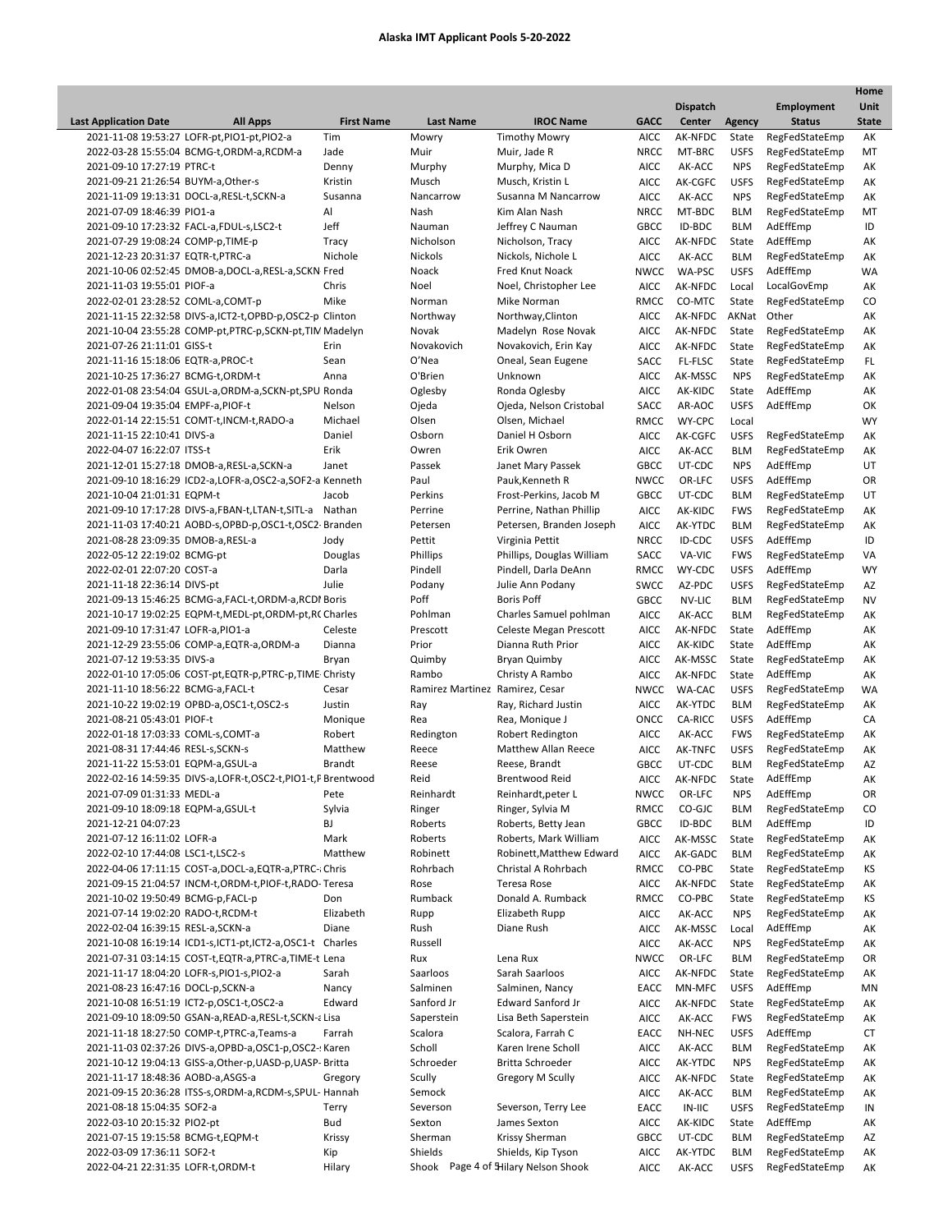|                                                                 |                   |                                 |                                     |             |                 |               |                            | Home         |
|-----------------------------------------------------------------|-------------------|---------------------------------|-------------------------------------|-------------|-----------------|---------------|----------------------------|--------------|
|                                                                 |                   |                                 |                                     |             | <b>Dispatch</b> |               | <b>Employment</b>          | <b>Unit</b>  |
| <b>Last Application Date</b><br><b>All Apps</b>                 | <b>First Name</b> | <b>Last Name</b>                | <b>IROC Name</b>                    | <b>GACC</b> | Center          | <b>Agency</b> | <b>Status</b>              | <b>State</b> |
| 2021-11-08 19:53:27 LOFR-pt, PIO1-pt, PIO2-a                    | Tim               | Mowry                           | <b>Timothy Mowry</b>                | AICC        | AK-NFDC         | State         | RegFedStateEmp             | AK           |
| 2022-03-28 15:55:04 BCMG-t,ORDM-a,RCDM-a                        | Jade              | Muir                            | Muir, Jade R                        | NRCC        | MT-BRC          | <b>USFS</b>   | RegFedStateEmp             | МT           |
| 2021-09-10 17:27:19 PTRC-t                                      | Denny             | Murphy                          | Murphy, Mica D                      | <b>AICC</b> | AK-ACC          | <b>NPS</b>    | RegFedStateEmp             | AK           |
| 2021-09-21 21:26:54 BUYM-a, Other-s                             | Kristin           | Musch                           | Musch, Kristin L                    | <b>AICC</b> | AK-CGFC         | <b>USFS</b>   | RegFedStateEmp             | AK           |
| 2021-11-09 19:13:31 DOCL-a, RESL-t, SCKN-a                      | Susanna           | Nancarrow                       | Susanna M Nancarrow                 | <b>AICC</b> | AK-ACC          | <b>NPS</b>    | RegFedStateEmp             | AK           |
| 2021-07-09 18:46:39 PIO1-a                                      | Al                | Nash                            | Kim Alan Nash                       | NRCC        | MT-BDC          | <b>BLM</b>    | RegFedStateEmp             | MT           |
| 2021-09-10 17:23:32 FACL-a,FDUL-s,LSC2-t                        | Jeff              | Nauman                          | Jeffrey C Nauman                    | <b>GBCC</b> | ID-BDC          | <b>BLM</b>    | AdEffEmp                   | ID           |
| 2021-07-29 19:08:24 COMP-p, TIME-p                              | Tracy             | Nicholson                       | Nicholson, Tracy                    | <b>AICC</b> | AK-NFDC         | State         | AdEffEmp                   | AK           |
| 2021-12-23 20:31:37 EQTR-t, PTRC-a                              | Nichole           | Nickols                         | Nickols, Nichole L                  | <b>AICC</b> | AK-ACC          | <b>BLM</b>    | RegFedStateEmp             | AK           |
| 2021-10-06 02:52:45 DMOB-a, DOCL-a, RESL-a, SCKN Fred           |                   | Noack                           | Fred Knut Noack                     | <b>NWCC</b> | WA-PSC          | <b>USFS</b>   | AdEffEmp                   | WA           |
| 2021-11-03 19:55:01 PIOF-a                                      | Chris             | Noel                            | Noel, Christopher Lee               | <b>AICC</b> | AK-NFDC         | Local         | LocalGovEmp                | AK           |
| 2022-02-01 23:28:52 COML-a,COMT-p                               | Mike              | Norman                          | Mike Norman                         | RMCC        | CO-MTC          | State         | RegFedStateEmp             | CO           |
| 2021-11-15 22:32:58 DIVS-a, ICT2-t, OPBD-p, OSC2-p Clinton      |                   | Northway                        | Northway, Clinton                   | <b>AICC</b> | AK-NFDC         | AKNat         | Other                      | AK           |
| 2021-10-04 23:55:28 COMP-pt, PTRC-p, SCKN-pt, TIM Madelyn       |                   | Novak                           | Madelyn Rose Novak                  | <b>AICC</b> | AK-NFDC         | State         | RegFedStateEmp             | AK           |
| 2021-07-26 21:11:01 GISS-t                                      | Erin              | Novakovich                      | Novakovich, Erin Kay                | <b>AICC</b> | AK-NFDC         | State         | RegFedStateEmp             | AK           |
| 2021-11-16 15:18:06 EQTR-a, PROC-t                              | Sean              | O'Nea                           | Oneal, Sean Eugene                  | SACC        | FL-FLSC         | State         | RegFedStateEmp             | FL.          |
| 2021-10-25 17:36:27 BCMG-t,ORDM-t                               | Anna              | O'Brien                         | Unknown                             | <b>AICC</b> | AK-MSSC         | <b>NPS</b>    | RegFedStateEmp             | AK           |
| 2022-01-08 23:54:04 GSUL-a, ORDM-a, SCKN-pt, SPU Ronda          |                   | Oglesby                         | Ronda Oglesby                       | <b>AICC</b> | AK-KIDC         | State         | AdEffEmp                   | AK           |
| 2021-09-04 19:35:04 EMPF-a, PIOF-t                              | Nelson            | Ojeda                           | Ojeda, Nelson Cristobal             | SACC        | AR-AOC          | <b>USFS</b>   | AdEffEmp                   | OK           |
| 2022-01-14 22:15:51 COMT-t, INCM-t, RADO-a                      | Michael           | Olsen                           | Olsen, Michael                      | RMCC        | WY-CPC          | Local         |                            | <b>WY</b>    |
| 2021-11-15 22:10:41 DIVS-a                                      | Daniel            | Osborn                          | Daniel H Osborn                     | <b>AICC</b> | AK-CGFC         | <b>USFS</b>   | RegFedStateEmp             | AK           |
| 2022-04-07 16:22:07 ITSS-t                                      | Erik              | Owren                           | Erik Owren                          | <b>AICC</b> | AK-ACC          | <b>BLM</b>    | RegFedStateEmp             | AK           |
| 2021-12-01 15:27:18 DMOB-a,RESL-a,SCKN-a                        | Janet             | Passek                          | Janet Mary Passek                   | GBCC        | UT-CDC          | <b>NPS</b>    | AdEffEmp                   | UT           |
| 2021-09-10 18:16:29 ICD2-a, LOFR-a, OSC2-a, SOF2-a Kenneth      |                   | Paul                            | Pauk, Kenneth R                     | <b>NWCC</b> | OR-LFC          | <b>USFS</b>   | AdEffEmp                   | OR           |
| 2021-10-04 21:01:31 EQPM-t                                      | Jacob             | Perkins                         | Frost-Perkins, Jacob M              | <b>GBCC</b> | UT-CDC          | <b>BLM</b>    | RegFedStateEmp             | UT           |
| 2021-09-10 17:17:28 DIVS-a, FBAN-t, LTAN-t, SITL-a Nathan       |                   | Perrine                         | Perrine, Nathan Phillip             | <b>AICC</b> | AK-KIDC         | <b>FWS</b>    | RegFedStateEmp             | АK           |
| 2021-11-03 17:40:21 AOBD-s, OPBD-p, OSC1-t, OSC2- Branden       |                   | Petersen                        | Petersen, Branden Joseph            | <b>AICC</b> | AK-YTDC         | <b>BLM</b>    | RegFedStateEmp             | AK           |
| 2021-08-28 23:09:35 DMOB-a,RESL-a                               | Jody              | Pettit                          | Virginia Pettit                     | <b>NRCC</b> | ID-CDC          | <b>USFS</b>   | AdEffEmp                   | ID           |
| 2022-05-12 22:19:02 BCMG-pt                                     | Douglas           | Phillips                        | Phillips, Douglas William           | SACC        | VA-VIC          | <b>FWS</b>    | RegFedStateEmp             | VA           |
| 2022-02-01 22:07:20 COST-a                                      | Darla             | Pindell                         | Pindell, Darla DeAnn                | RMCC        | WY-CDC          | <b>USFS</b>   | AdEffEmp                   | WY           |
| 2021-11-18 22:36:14 DIVS-pt                                     | Julie             | Podany                          | Julie Ann Podany                    | <b>SWCC</b> | AZ-PDC          | <b>USFS</b>   | RegFedStateEmp             | AZ           |
| 2021-09-13 15:46:25 BCMG-a, FACL-t, ORDM-a, RCDI Boris          |                   | Poff                            | <b>Boris Poff</b>                   | <b>GBCC</b> | NV-LIC          | <b>BLM</b>    | RegFedStateEmp             | <b>NV</b>    |
|                                                                 |                   | Pohlman                         |                                     | <b>AICC</b> | AK-ACC          | <b>BLM</b>    |                            | AK           |
| 2021-10-17 19:02:25 EQPM-t, MEDL-pt, ORDM-pt, RC Charles        | Celeste           |                                 | Charles Samuel pohlman              |             |                 |               | RegFedStateEmp<br>AdEffEmp |              |
| 2021-09-10 17:31:47 LOFR-a, PIO1-a                              |                   | Prescott                        | Celeste Megan Prescott              | <b>AICC</b> | AK-NFDC         | State         |                            | AK           |
| 2021-12-29 23:55:06 COMP-a, EQTR-a, ORDM-a                      | Dianna            | Prior                           | Dianna Ruth Prior                   | <b>AICC</b> | AK-KIDC         | State         | AdEffEmp                   | AK           |
| 2021-07-12 19:53:35 DIVS-a                                      | Bryan             | Quimby                          | <b>Bryan Quimby</b>                 | <b>AICC</b> | AK-MSSC         | State         | RegFedStateEmp             | AK           |
| 2022-01-10 17:05:06 COST-pt, EQTR-p, PTRC-p, TIME Christy       |                   | Rambo                           | Christy A Rambo                     | <b>AICC</b> | AK-NFDC         | State         | AdEffEmp                   | AK           |
| 2021-11-10 18:56:22 BCMG-a, FACL-t                              | Cesar             | Ramirez Martinez Ramirez, Cesar |                                     | <b>NWCC</b> | <b>WA-CAC</b>   | <b>USFS</b>   | RegFedStateEmp             | WA           |
| 2021-10-22 19:02:19 OPBD-a, OSC1-t, OSC2-s                      | Justin            | Ray                             | Ray, Richard Justin                 | <b>AICC</b> | AK-YTDC         | <b>BLM</b>    | RegFedStateEmp             | AK           |
| 2021-08-21 05:43:01 PIOF-t                                      | Monique           | Rea                             | Rea, Monique J                      | ONCC        | CA-RICC         | <b>USFS</b>   | AdEffEmp                   | CA           |
| 2022-01-18 17:03:33 COML-s,COMT-a                               | Robert            | Redington                       | <b>Robert Redington</b>             | <b>AICC</b> | AK-ACC          | <b>FWS</b>    | RegFedStateEmp             | AK           |
| 2021-08-31 17:44:46 RESL-s, SCKN-s                              | Matthew           | Reece                           | Matthew Allan Reece                 | <b>AICC</b> | AK-TNFC         | <b>USFS</b>   | RegFedStateEmp             | AK           |
| 2021-11-22 15:53:01 EQPM-a, GSUL-a                              | <b>Brandt</b>     | Reese                           | Reese, Brandt                       | GBCC        | UT-CDC          | <b>BLM</b>    | RegFedStateEmp             | AZ           |
| 2022-02-16 14:59:35 DIVS-a, LOFR-t, OSC2-t, PIO1-t, P Brentwood |                   | Reid                            | <b>Brentwood Reid</b>               | <b>AICC</b> | AK-NFDC         | State         | AdEffEmp                   | AK           |
| 2021-07-09 01:31:33 MEDL-a                                      | Pete              | Reinhardt                       | Reinhardt, peter L                  | NWCC        | OR-LFC          | <b>NPS</b>    | AdEffEmp                   | OR           |
| 2021-09-10 18:09:18 EQPM-a, GSUL-t                              | Sylvia            | Ringer                          | Ringer, Sylvia M                    | RMCC        | CO-GJC          | <b>BLM</b>    | RegFedStateEmp             | CO           |
| 2021-12-21 04:07:23                                             | BJ                | Roberts                         | Roberts, Betty Jean                 | GBCC        | ID-BDC          | <b>BLM</b>    | AdEffEmp                   | ID           |
| 2021-07-12 16:11:02 LOFR-a                                      | Mark              | Roberts                         | Roberts, Mark William               | <b>AICC</b> | AK-MSSC         | State         | RegFedStateEmp             | AK           |
| 2022-02-10 17:44:08 LSC1-t,LSC2-s                               | Matthew           | Robinett                        | Robinett, Matthew Edward            | <b>AICC</b> | AK-GADC         | <b>BLM</b>    | RegFedStateEmp             | AK           |
| 2022-04-06 17:11:15 COST-a, DOCL-a, EQTR-a, PTRC-: Chris        |                   | Rohrbach                        | Christal A Rohrbach                 | RMCC        | CO-PBC          | State         | RegFedStateEmp             | KS           |
| 2021-09-15 21:04:57 INCM-t, ORDM-t, PIOF-t, RADO-Teresa         |                   | Rose                            | Teresa Rose                         | <b>AICC</b> | AK-NFDC         | State         | RegFedStateEmp             | АK           |
| 2021-10-02 19:50:49 BCMG-p, FACL-p                              | Don               | Rumback                         | Donald A. Rumback                   | RMCC        | CO-PBC          | State         | RegFedStateEmp             | KS           |
| 2021-07-14 19:02:20 RADO-t, RCDM-t                              | Elizabeth         | Rupp                            | Elizabeth Rupp                      | <b>AICC</b> | AK-ACC          | <b>NPS</b>    | RegFedStateEmp             | AK           |
| 2022-02-04 16:39:15 RESL-a,SCKN-a                               | Diane             | Rush                            | Diane Rush                          | AICC        | AK-MSSC         | Local         | AdEffEmp                   | AK           |
| 2021-10-08 16:19:14 ICD1-s, ICT1-pt, ICT2-a, OSC1-t Charles     |                   | Russell                         |                                     | AICC        | AK-ACC          | <b>NPS</b>    | RegFedStateEmp             | АK           |
| 2021-07-31 03:14:15 COST-t, EQTR-a, PTRC-a, TIME-t Lena         |                   | Rux                             | Lena Rux                            | <b>NWCC</b> | OR-LFC          | <b>BLM</b>    | RegFedStateEmp             | OR           |
| 2021-11-17 18:04:20 LOFR-s, PIO1-s, PIO2-a                      | Sarah             | Saarloos                        | Sarah Saarloos                      | AICC        | AK-NFDC         | State         | RegFedStateEmp             | АK           |
| 2021-08-23 16:47:16 DOCL-p,SCKN-a                               | Nancy             | Salminen                        | Salminen, Nancy                     | EACC        | MN-MFC          | <b>USFS</b>   | AdEffEmp                   | ΜN           |
| 2021-10-08 16:51:19 ICT2-p,OSC1-t,OSC2-a                        | Edward            | Sanford Jr                      | Edward Sanford Jr                   | <b>AICC</b> | AK-NFDC         | State         | RegFedStateEmp             | AK           |
| 2021-09-10 18:09:50 GSAN-a,READ-a,RESL-t,SCKN-a Lisa            |                   | Saperstein                      | Lisa Beth Saperstein                | <b>AICC</b> | AK-ACC          | <b>FWS</b>    | RegFedStateEmp             | AK           |
| 2021-11-18 18:27:50 COMP-t, PTRC-a, Teams-a                     | Farrah            | Scalora                         | Scalora, Farrah C                   | EACC        | NH-NEC          | <b>USFS</b>   | AdEffEmp                   | СT           |
| 2021-11-03 02:37:26 DIVS-a, OPBD-a, OSC1-p, OSC2-: Karen        |                   | Scholl                          | Karen Irene Scholl                  | <b>AICC</b> | AK-ACC          | <b>BLM</b>    | RegFedStateEmp             | АK           |
| 2021-10-12 19:04:13 GISS-a, Other-p, UASD-p, UASP- Britta       |                   | Schroeder                       | Britta Schroeder                    | <b>AICC</b> | AK-YTDC         | <b>NPS</b>    | RegFedStateEmp             | AK           |
| 2021-11-17 18:48:36 AOBD-a, ASGS-a                              | Gregory           | Scully                          | Gregory M Scully                    | AICC        | AK-NFDC         | State         | RegFedStateEmp             | AK           |
| 2021-09-15 20:36:28 ITSS-s, ORDM-a, RCDM-s, SPUL-Hannah         |                   | Semock                          |                                     | <b>AICC</b> | AK-ACC          | <b>BLM</b>    | RegFedStateEmp             | AK           |
| 2021-08-18 15:04:35 SOF2-a                                      | Terry             | Severson                        | Severson, Terry Lee                 | EACC        | IN-IIC          | <b>USFS</b>   | RegFedStateEmp             | IN           |
| 2022-03-10 20:15:32 PIO2-pt                                     | Bud               | Sexton                          | James Sexton                        | <b>AICC</b> | AK-KIDC         | State         | AdEffEmp                   | АK           |
| 2021-07-15 19:15:58 BCMG-t, EQPM-t                              | Krissy            | Sherman                         | Krissy Sherman                      | GBCC        | UT-CDC          | <b>BLM</b>    | RegFedStateEmp             | AZ           |
| 2022-03-09 17:36:11 SOF2-t                                      | Kip               | Shields                         | Shields, Kip Tyson                  | AICC        | AK-YTDC         | <b>BLM</b>    | RegFedStateEmp             | AK           |
| 2022-04-21 22:31:35 LOFR-t,ORDM-t                               | Hilary            |                                 | Shook Page 4 of Hilary Nelson Shook | AICC        | AK-ACC          | <b>USFS</b>   | RegFedStateEmp             | АK           |